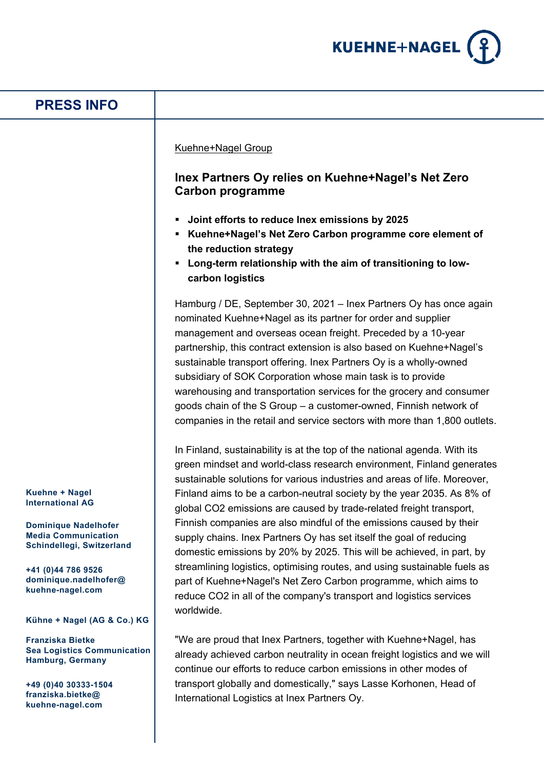

## **Kuehne + Nagel International AG Dominique Nadelhofer Media Communication Schindellegi, Switzerland +41 (0)44 786 9526 dominique.nadelhofer@ kuehne-nagel.com Kühne + Nagel (AG & Co.) KG Franziska Bietke Sea Logistics Communication Hamburg, Germany +49 (0)40 30333-1504 franziska.bietke@ kuehne-nagel.com PRESS INFO** Kuehne+Nagel Group **Inex Partners Oy relies on Kuehne+Nagel's Net Zero Carbon programme Joint efforts to reduce Inex emissions by 2025 Kuehne+Nagel's Net Zero Carbon programme core element of the reduction strategy Long-term relationship with the aim of transitioning to lowcarbon logistics** Hamburg / DE, September 30, 2021 – Inex Partners Oy has once again nominated Kuehne+Nagel as its partner for order and supplier management and overseas ocean freight. Preceded by a 10-year partnership, this contract extension is also based on Kuehne+Nagel's sustainable transport offering. Inex Partners Oy is a wholly-owned subsidiary of SOK Corporation whose main task is to provide warehousing and transportation services for the grocery and consumer goods chain of the S Group – a customer-owned, Finnish network of companies in the retail and service sectors with more than 1,800 outlets. In Finland, sustainability is at the top of the national agenda. With its green mindset and world-class research environment, Finland generates sustainable solutions for various industries and areas of life. Moreover, Finland aims to be a carbon-neutral society by the year 2035. As 8% of global CO2 emissions are caused by trade-related freight transport, Finnish companies are also mindful of the emissions caused by their supply chains. Inex Partners Oy has set itself the goal of reducing domestic emissions by 20% by 2025. This will be achieved, in part, by streamlining logistics, optimising routes, and using sustainable fuels as part of Kuehne+Nagel's Net Zero Carbon programme, which aims to reduce CO2 in all of the company's transport and logistics services worldwide. "We are proud that Inex Partners, together with Kuehne+Nagel, has already achieved carbon neutrality in ocean freight logistics and we will continue our efforts to reduce carbon emissions in other modes of transport globally and domestically," says Lasse Korhonen, Head of International Logistics at Inex Partners Oy.